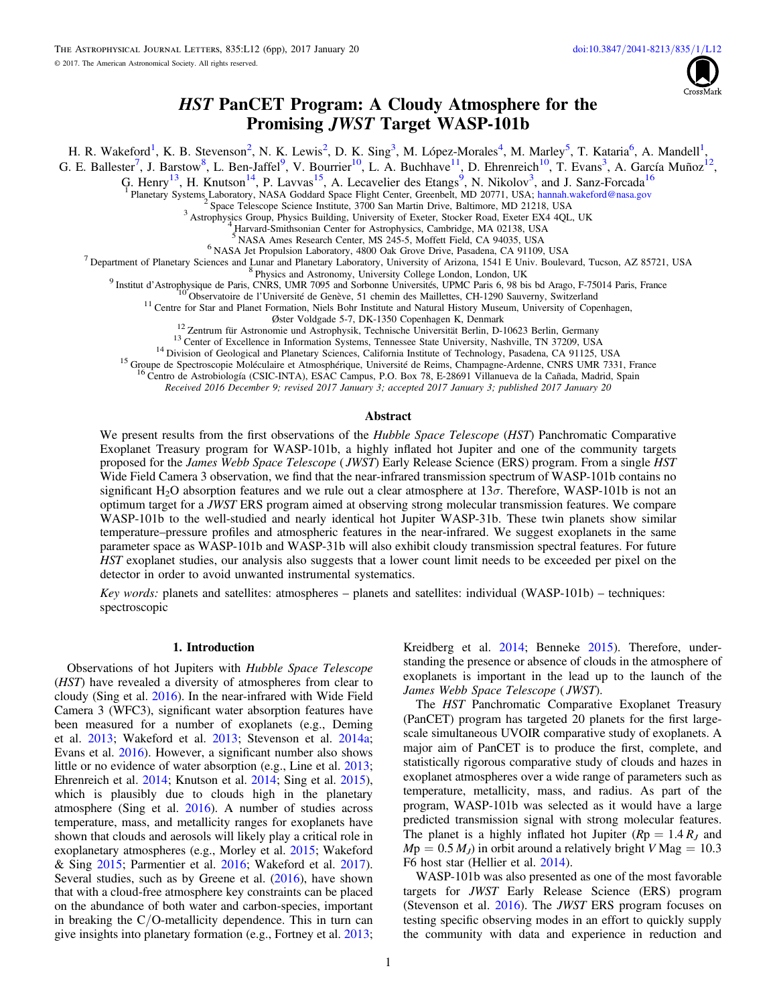

# HST PanCET Program: A Cloudy Atmosphere for the Promising JWST Target WASP-101b

H. R. Wakeford<sup>[1](#page-0-0)</sup>, K. B. Stevenson<sup>[2](#page-0-1)</sup>, N. K. Lewis<sup>2</sup>, D. K. Sing<sup>3</sup>, M. López-Morales<sup>[4](#page-0-3)</sup>, M. Marley<sup>[5](#page-0-4)</sup>, T. Kataria<sup>[6](#page-0-5)</sup>, A. Mandell<sup>1</sup>,

<span id="page-0-0"></span>G. E. Ballester<sup>[7](#page-0-6)</sup>, J. Barstow<sup>[8](#page-0-7)</sup>, L. Ben-Jaffel<sup>[9](#page-0-8)</sup>, V. Bourrier<sup>10</sup>, L. A. Buchhave<sup>11</sup>, D. Ehrenreich<sup>10</sup>, T. Evans<sup>[3](#page-0-2)</sup>, A. García Muñoz<sup>12</sup>,

G. Henry<sup>13</sup>, H. Knutson<sup>14</sup>, P. Lavvas<sup>15</sup>, A. Lecavelier des Etangs<sup>[9](#page-0-8)</sup>, N. Nikolov<sup>[3](#page-0-2)</sup>, and J. Sanz-Forcada<sup>[16](#page-0-15)</sup>

T Planetary Systems Laboratory, NASA Goddard Space Flight Center, Greenbelt, MD 20771, USA; [hannah.wakeford@nasa.gov](mailto:hannah.wakeford@nasa.gov)<br>
<sup>2</sup> Space Telescope Science Institute, 3700 San Martin Drive, Baltimore, MD 21218, USA<br>
<sup>3</sup> Astrophysics

<span id="page-0-8"></span><span id="page-0-7"></span><span id="page-0-6"></span><span id="page-0-5"></span><span id="page-0-4"></span><span id="page-0-3"></span><span id="page-0-2"></span><span id="page-0-1"></span><sup>2</sup> Harvard-Smithsonian Center for Astrophysics, Cambridge, MA 02138, USA<br><sup>5</sup> NASA Ames Research Center, MS 245-5, Moffett Field, CA 94035, USA<br><sup>5</sup> NASA Jet Propulsion Laboratory, 4800 Oak Grove Drive, Pasadena, CA 91109,

<span id="page-0-9"></span>

<span id="page-0-14"></span><span id="page-0-13"></span><span id="page-0-12"></span><span id="page-0-11"></span><span id="page-0-10"></span><sup>12</sup> Zentrum für Astronomie und Astrophysik, Technische Universität Berlin, D-10623 Berlin, Germany<br><sup>13</sup> Center of Excellence in Information Systems, Tennessee State University, Nashville, TN 37209, USA<br><sup>14</sup> Division of Ge

<sup>16</sup> Centro de Astrobiología (CSIC-INTA), ESAC Campus, P.O. Box 78, E-28691 Villanueva de la Cañada, Madrid, Spain

Received 2016 December 9; revised 2017 January 3; accepted 2017 January 3; published 2017 January 20

## Abstract

<span id="page-0-15"></span>We present results from the first observations of the *Hubble Space Telescope (HST)* Panchromatic Comparative Exoplanet Treasury program for WASP-101b, a highly inflated hot Jupiter and one of the community targets proposed for the *James Webb Space Telescope* (*JWST*) Early Release Science (ERS) program. From a single *HST* Wide Field Camera 3 observation, we find that the near-infrared transmission spectrum of WASP-101b contains no significant H<sub>2</sub>O absorption features and we rule out a clear atmosphere at  $13\sigma$ . Therefore, WASP-101b is not an optimum target for a JWST ERS program aimed at observing strong molecular transmission features. We compare WASP-101b to the well-studied and nearly identical hot Jupiter WASP-31b. These twin planets show similar temperature–pressure profiles and atmospheric features in the near-infrared. We suggest exoplanets in the same parameter space as WASP-101b and WASP-31b will also exhibit cloudy transmission spectral features. For future HST exoplanet studies, our analysis also suggests that a lower count limit needs to be exceeded per pixel on the detector in order to avoid unwanted instrumental systematics.

Key words: planets and satellites: atmospheres – planets and satellites: individual (WASP-101b) – techniques: spectroscopic

## 1. Introduction

Observations of hot Jupiters with Hubble Space Telescope (HST) have revealed a diversity of atmospheres from clear to cloudy (Sing et al. [2016](#page-5-0)). In the near-infrared with Wide Field Camera 3 (WFC3), significant water absorption features have been measured for a number of exoplanets (e.g., Deming et al. [2013](#page-5-1); Wakeford et al. [2013](#page-5-2); Stevenson et al. [2014a](#page-5-3); Evans et al. [2016](#page-5-4)). However, a significant number also shows little or no evidence of water absorption (e.g., Line et al. [2013](#page-5-5); Ehrenreich et al. [2014](#page-5-6); Knutson et al. [2014](#page-5-7); Sing et al. [2015](#page-5-8)), which is plausibly due to clouds high in the planetary atmosphere (Sing et al. [2016](#page-5-0)). A number of studies across temperature, mass, and metallicity ranges for exoplanets have shown that clouds and aerosols will likely play a critical role in exoplanetary atmospheres (e.g., Morley et al. [2015;](#page-5-9) Wakeford & Sing [2015](#page-5-10); Parmentier et al. [2016](#page-5-11); Wakeford et al. [2017](#page-5-12)). Several studies, such as by Greene et al. ([2016](#page-5-13)), have shown that with a cloud-free atmosphere key constraints can be placed on the abundance of both water and carbon-species, important in breaking the C/O-metallicity dependence. This in turn can give insights into planetary formation (e.g., Fortney et al. [2013](#page-5-14);

Kreidberg et al. [2014;](#page-5-15) Benneke [2015](#page-5-16)). Therefore, understanding the presence or absence of clouds in the atmosphere of exoplanets is important in the lead up to the launch of the James Webb Space Telescope ( JWST).

The HST Panchromatic Comparative Exoplanet Treasury (PanCET) program has targeted 20 planets for the first largescale simultaneous UVOIR comparative study of exoplanets. A major aim of PanCET is to produce the first, complete, and statistically rigorous comparative study of clouds and hazes in exoplanet atmospheres over a wide range of parameters such as temperature, metallicity, mass, and radius. As part of the program, WASP-101b was selected as it would have a large predicted transmission signal with strong molecular features. The planet is a highly inflated hot Jupiter ( $Rp = 1.4 R<sub>I</sub>$  and  $Mp = 0.5 M_J$ ) in orbit around a relatively bright V Mag = 10.3 F6 host star (Hellier et al. [2014](#page-5-17)).

WASP-101b was also presented as one of the most favorable targets for JWST Early Release Science (ERS) program (Stevenson et al. [2016](#page-5-18)). The JWST ERS program focuses on testing specific observing modes in an effort to quickly supply the community with data and experience in reduction and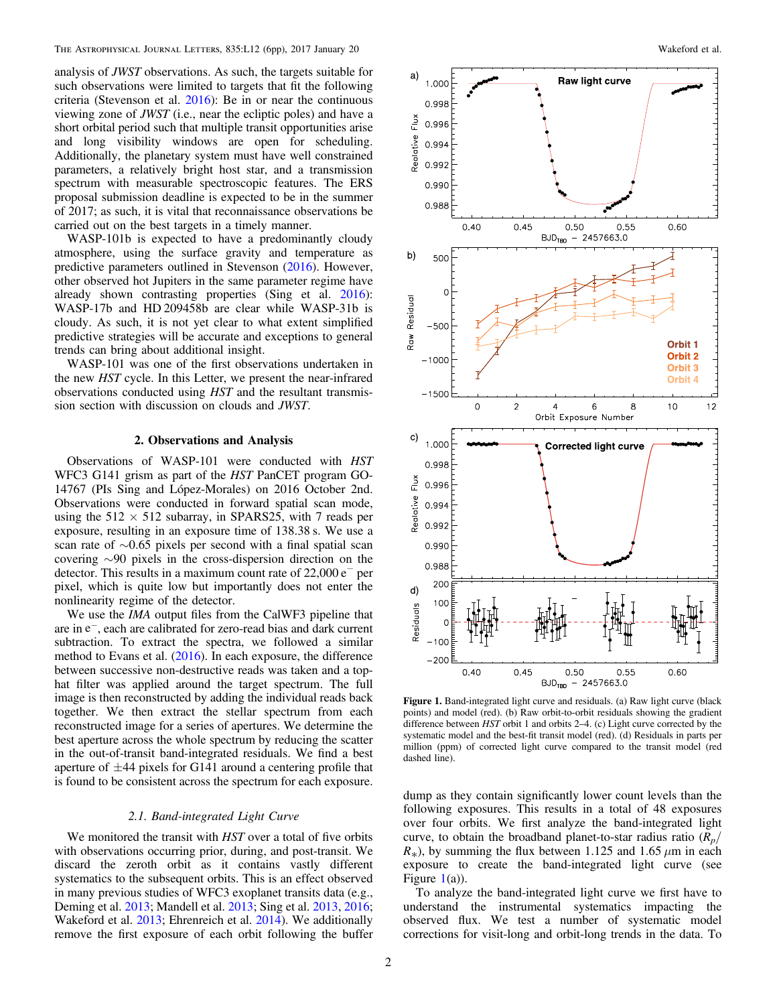analysis of JWST observations. As such, the targets suitable for such observations were limited to targets that fit the following criteria (Stevenson et al. [2016](#page-5-18)): Be in or near the continuous viewing zone of JWST (i.e., near the ecliptic poles) and have a short orbital period such that multiple transit opportunities arise and long visibility windows are open for scheduling. Additionally, the planetary system must have well constrained parameters, a relatively bright host star, and a transmission spectrum with measurable spectroscopic features. The ERS proposal submission deadline is expected to be in the summer of 2017; as such, it is vital that reconnaissance observations be carried out on the best targets in a timely manner.

WASP-101b is expected to have a predominantly cloudy atmosphere, using the surface gravity and temperature as predictive parameters outlined in Stevenson ([2016](#page-5-19)). However, other observed hot Jupiters in the same parameter regime have already shown contrasting properties (Sing et al. [2016](#page-5-0)): WASP-17b and HD 209458b are clear while WASP-31b is cloudy. As such, it is not yet clear to what extent simplified predictive strategies will be accurate and exceptions to general trends can bring about additional insight.

WASP-101 was one of the first observations undertaken in the new HST cycle. In this Letter, we present the near-infrared observations conducted using HST and the resultant transmission section with discussion on clouds and JWST.

## 2. Observations and Analysis

Observations of WASP-101 were conducted with HST WFC3 G141 grism as part of the HST PanCET program GO-14767 (PIs Sing and López-Morales) on 2016 October 2nd. Observations were conducted in forward spatial scan mode, using the  $512 \times 512$  subarray, in SPARS25, with 7 reads per exposure, resulting in an exposure time of 138.38 s. We use a scan rate of ∼0.65 pixels per second with a final spatial scan covering ∼90 pixels in the cross-dispersion direction on the detector. This results in a maximum count rate of  $22,000 e^-$  per pixel, which is quite low but importantly does not enter the nonlinearity regime of the detector.

We use the *IMA* output files from the CalWF3 pipeline that are in  $e^-$ , each are calibrated for zero-read bias and dark current subtraction. To extract the spectra, we followed a similar method to Evans et al. ([2016](#page-5-4)). In each exposure, the difference between successive non-destructive reads was taken and a tophat filter was applied around the target spectrum. The full image is then reconstructed by adding the individual reads back together. We then extract the stellar spectrum from each reconstructed image for a series of apertures. We determine the best aperture across the whole spectrum by reducing the scatter in the out-of-transit band-integrated residuals. We find a best aperture of  $\pm$ 44 pixels for G141 around a centering profile that is found to be consistent across the spectrum for each exposure.

### 2.1. Band-integrated Light Curve

We monitored the transit with HST over a total of five orbits with observations occurring prior, during, and post-transit. We discard the zeroth orbit as it contains vastly different systematics to the subsequent orbits. This is an effect observed in many previous studies of WFC3 exoplanet transits data (e.g., Deming et al. [2013](#page-5-1); Mandell et al. [2013;](#page-5-20) Sing et al. [2013,](#page-5-21) [2016](#page-5-0); Wakeford et al. [2013;](#page-5-2) Ehrenreich et al. [2014](#page-5-6)). We additionally remove the first exposure of each orbit following the buffer

<span id="page-1-0"></span>

Figure 1. Band-integrated light curve and residuals. (a) Raw light curve (black points) and model (red). (b) Raw orbit-to-orbit residuals showing the gradient difference between HST orbit 1 and orbits 2–4. (c) Light curve corrected by the systematic model and the best-fit transit model (red). (d) Residuals in parts per million (ppm) of corrected light curve compared to the transit model (red dashed line).

dump as they contain significantly lower count levels than the following exposures. This results in a total of 48 exposures over four orbits. We first analyze the band-integrated light curve, to obtain the broadband planet-to-star radius ratio  $(R_p)$  $R_{*}$ ), by summing the flux between 1.125 and 1.65  $\mu$ m in each exposure to create the band-integrated light curve (see Figure  $1(a)$  $1(a)$ ).

To analyze the band-integrated light curve we first have to understand the instrumental systematics impacting the observed flux. We test a number of systematic model corrections for visit-long and orbit-long trends in the data. To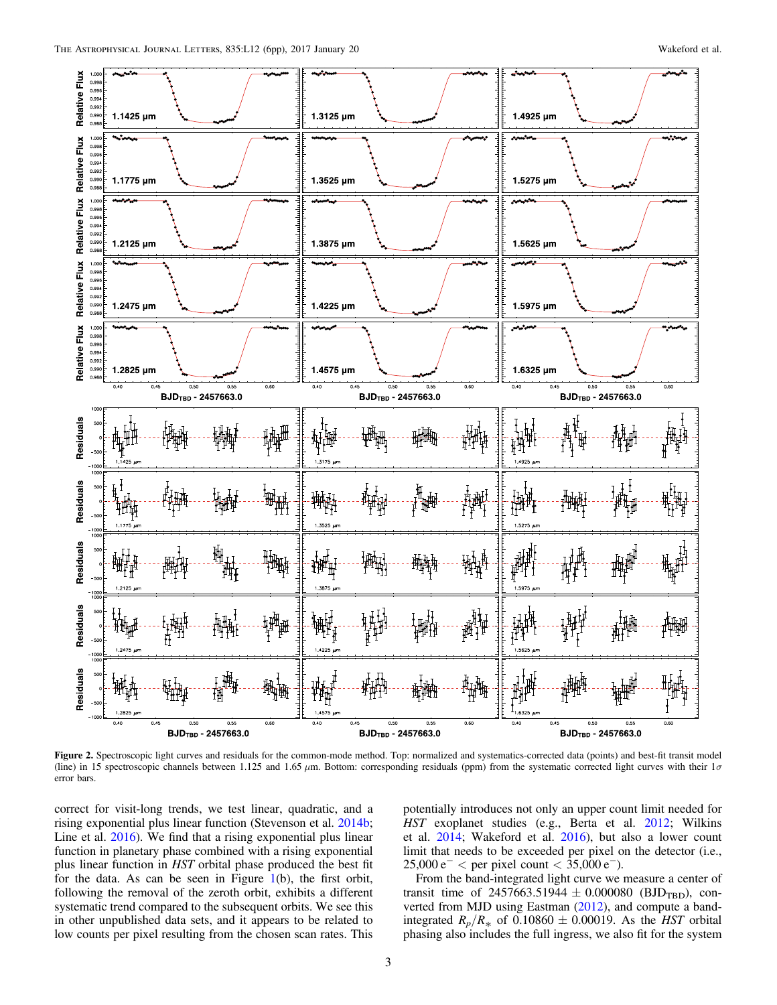<span id="page-2-0"></span>

Figure 2. Spectroscopic light curves and residuals for the common-mode method. Top: normalized and systematics-corrected data (points) and best-fit transit model (line) in 15 spectroscopic channels between 1.125 and 1.65  $\mu$ m. Bottom: corresponding residuals (ppm) from the systematic corrected light curves with their 1 $\sigma$ error bars.

correct for visit-long trends, we test linear, quadratic, and a rising exponential plus linear function (Stevenson et al. [2014b](#page-5-22); Line et al. [2016](#page-5-23)). We find that a rising exponential plus linear function in planetary phase combined with a rising exponential plus linear function in HST orbital phase produced the best fit for the data. As can be seen in Figure [1](#page-1-0)(b), the first orbit, following the removal of the zeroth orbit, exhibits a different systematic trend compared to the subsequent orbits. We see this in other unpublished data sets, and it appears to be related to low counts per pixel resulting from the chosen scan rates. This

potentially introduces not only an upper count limit needed for HST exoplanet studies (e.g., Berta et al. [2012](#page-5-24); Wilkins et al. [2014](#page-5-25); Wakeford et al. [2016](#page-5-26)), but also a lower count limit that needs to be exceeded per pixel on the detector (i.e.,  $25,000 \,\mathrm{e}^-$  < per pixel count < 35,000 e<sup>-</sup>).

From the band-integrated light curve we measure a center of transit time of 2457663.51944  $\pm$  0.000080 (BJD<sub>TBD</sub>), converted from MJD using Eastman ([2012](#page-5-27)), and compute a bandintegrated  $R_p/R_*$  of 0.10860  $\pm$  0.00019. As the HST orbital phasing also includes the full ingress, we also fit for the system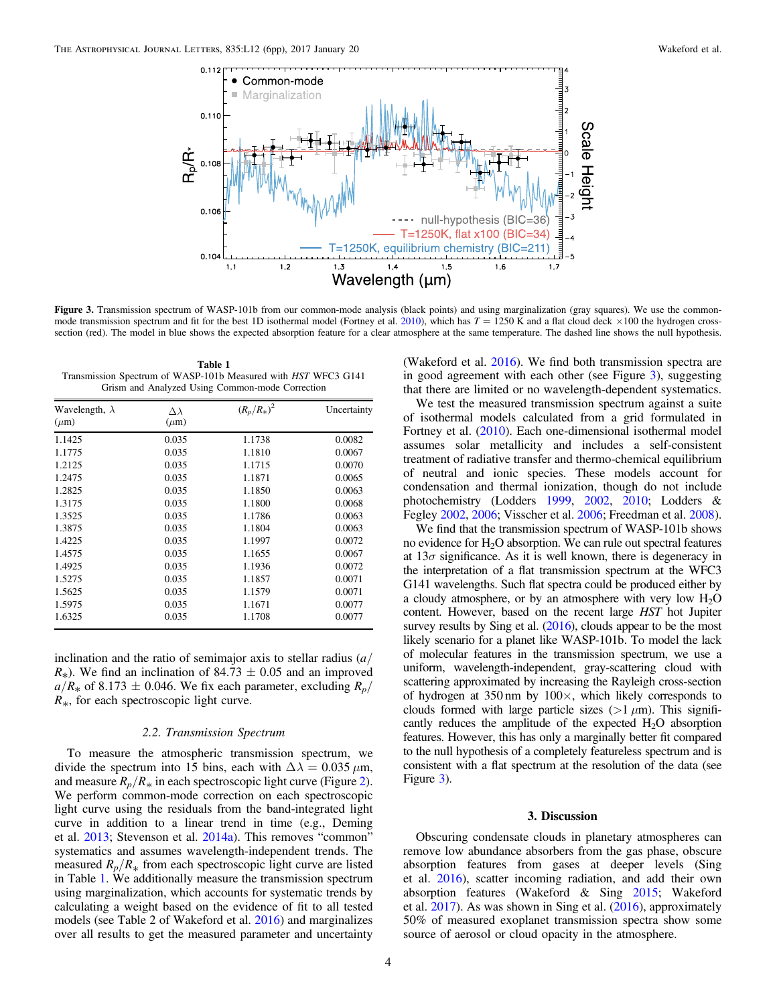<span id="page-3-1"></span>

Figure 3. Transmission spectrum of WASP-101b from our common-mode analysis (black points) and using marginalization (gray squares). We use the common-mode transmission spectrum and fit for the best 1D isothermal model (Fortney et al. [2010](#page-5-28)), which has  $T = 1250$  K and a flat cloud deck  $\times 100$  the hydrogen crosssection (red). The model in blue shows the expected absorption feature for a clear atmosphere at the same temperature. The dashed line shows the null hypothesis.

<span id="page-3-0"></span>Table 1 Transmission Spectrum of WASP-101b Measured with HST WFC3 G141 Grism and Analyzed Using Common-mode Correction

| Wavelength, $\lambda$<br>$(\mu m)$ | $\Delta \lambda$<br>$(\mu m)$ | $(R_p/R_*)^2$ | Uncertainty |
|------------------------------------|-------------------------------|---------------|-------------|
|                                    |                               |               |             |
| 1.1775                             | 0.035                         | 1.1810        | 0.0067      |
| 1.2125                             | 0.035                         | 1.1715        | 0.0070      |
| 1.2475                             | 0.035                         | 1.1871        | 0.0065      |
| 1.2825                             | 0.035                         | 1.1850        | 0.0063      |
| 1.3175                             | 0.035                         | 1.1800        | 0.0068      |
| 1.3525                             | 0.035                         | 1.1786        | 0.0063      |
| 1.3875                             | 0.035                         | 1.1804        | 0.0063      |
| 1.4225                             | 0.035                         | 1.1997        | 0.0072      |
| 1.4575                             | 0.035                         | 1.1655        | 0.0067      |
| 1.4925                             | 0.035                         | 1.1936        | 0.0072      |
| 1.5275                             | 0.035                         | 1.1857        | 0.0071      |
| 1.5625                             | 0.035                         | 1.1579        | 0.0071      |
| 1.5975                             | 0.035                         | 1.1671        | 0.0077      |
| 1.6325                             | 0.035                         | 1.1708        | 0.0077      |

inclination and the ratio of semimajor axis to stellar radius  $\left(a\right)$  $R_{\ast}$ ). We find an inclination of 84.73  $\pm$  0.05 and an improved  $a/R_*$  of 8.173  $\pm$  0.046. We fix each parameter, excluding  $R_p$ /  $R_{*}$ , for each spectroscopic light curve.

#### 2.2. Transmission Spectrum

To measure the atmospheric transmission spectrum, we divide the spectrum into 15 bins, each with  $\Delta\lambda = 0.035 \,\mu \text{m}$ , and measure  $R_p/R_*$  in each spectroscopic light curve (Figure [2](#page-2-0)). We perform common-mode correction on each spectroscopic light curve using the residuals from the band-integrated light curve in addition to a linear trend in time (e.g., Deming et al. [2013](#page-5-1); Stevenson et al. [2014a](#page-5-3)). This removes "common" systematics and assumes wavelength-independent trends. The measured  $R_p/R_*$  from each spectroscopic light curve are listed in Table [1.](#page-3-0) We additionally measure the transmission spectrum using marginalization, which accounts for systematic trends by calculating a weight based on the evidence of fit to all tested models (see Table 2 of Wakeford et al. [2016](#page-5-26)) and marginalizes over all results to get the measured parameter and uncertainty

(Wakeford et al. [2016](#page-5-26)). We find both transmission spectra are in good agreement with each other (see Figure [3](#page-3-1)), suggesting that there are limited or no wavelength-dependent systematics.

We test the measured transmission spectrum against a suite of isothermal models calculated from a grid formulated in Fortney et al. ([2010](#page-5-28)). Each one-dimensional isothermal model assumes solar metallicity and includes a self-consistent treatment of radiative transfer and thermo-chemical equilibrium of neutral and ionic species. These models account for condensation and thermal ionization, though do not include photochemistry (Lodders [1999](#page-5-29), [2002,](#page-5-30) [2010;](#page-5-31) Lodders & Fegley [2002](#page-5-32), [2006;](#page-5-33) Visscher et al. [2006](#page-5-34); Freedman et al. [2008](#page-5-35)).

We find that the transmission spectrum of WASP-101b shows no evidence for  $H_2O$  absorption. We can rule out spectral features at  $13\sigma$  significance. As it is well known, there is degeneracy in the interpretation of a flat transmission spectrum at the WFC3 G141 wavelengths. Such flat spectra could be produced either by a cloudy atmosphere, or by an atmosphere with very low  $H_2O$ content. However, based on the recent large HST hot Jupiter survey results by Sing et al. ([2016](#page-5-0)), clouds appear to be the most likely scenario for a planet like WASP-101b. To model the lack of molecular features in the transmission spectrum, we use a uniform, wavelength-independent, gray-scattering cloud with scattering approximated by increasing the Rayleigh cross-section of hydrogen at  $350 \text{ nm}$  by  $100 \times$ , which likely corresponds to clouds formed with large particle sizes ( $>1 \mu$ m). This significantly reduces the amplitude of the expected  $H_2O$  absorption features. However, this has only a marginally better fit compared to the null hypothesis of a completely featureless spectrum and is consistent with a flat spectrum at the resolution of the data (see Figure [3](#page-3-1)).

### 3. Discussion

Obscuring condensate clouds in planetary atmospheres can remove low abundance absorbers from the gas phase, obscure absorption features from gases at deeper levels (Sing et al. [2016](#page-5-0)), scatter incoming radiation, and add their own absorption features (Wakeford & Sing [2015;](#page-5-10) Wakeford et al. [2017](#page-5-12)). As was shown in Sing et al. ([2016](#page-5-0)), approximately 50% of measured exoplanet transmission spectra show some source of aerosol or cloud opacity in the atmosphere.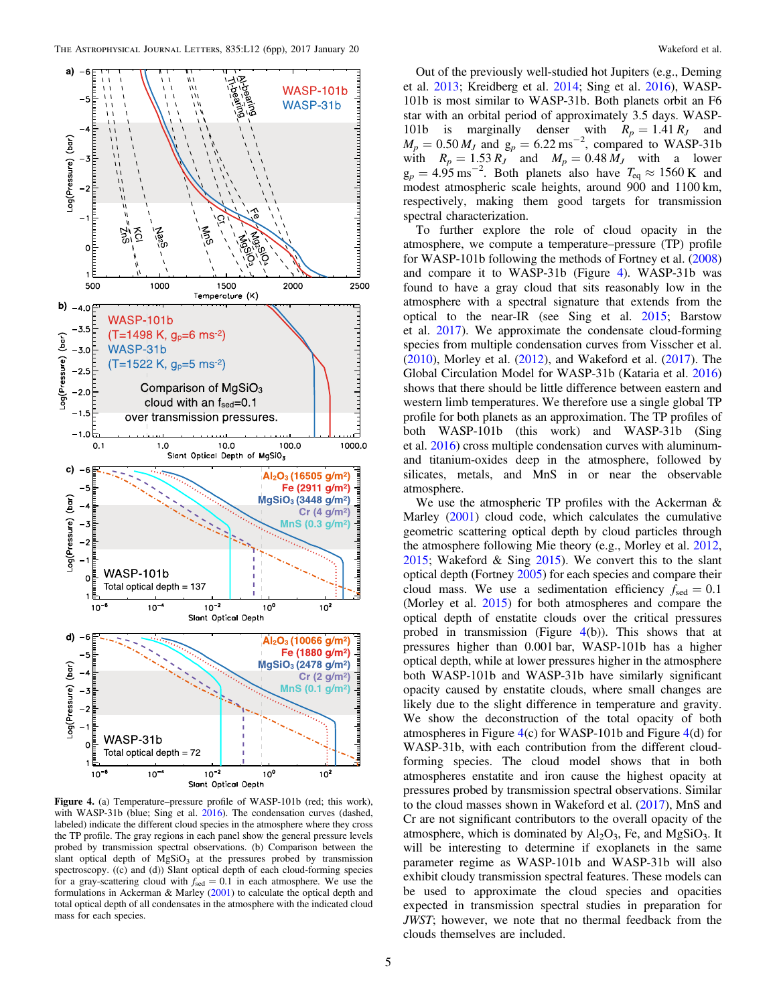<span id="page-4-0"></span>

Figure 4. (a) Temperature–pressure profile of WASP-101b (red; this work), with WASP-31b (blue; Sing et al. [2016](#page-5-0)). The condensation curves (dashed, labeled) indicate the different cloud species in the atmosphere where they cross the TP profile. The gray regions in each panel show the general pressure levels probed by transmission spectral observations. (b) Comparison between the slant optical depth of  $MgSiO<sub>3</sub>$  at the pressures probed by transmission spectroscopy. ((c) and (d)) Slant optical depth of each cloud-forming species for a gray-scattering cloud with  $f_{\text{sed}} = 0.1$  in each atmosphere. We use the formulations in Ackerman & Marley ([2001](#page-5-41)) to calculate the optical depth and total optical depth of all condensates in the atmosphere with the indicated cloud mass for each species.

Out of the previously well-studied hot Jupiters (e.g., Deming et al. [2013;](#page-5-1) Kreidberg et al. [2014](#page-5-15); Sing et al. [2016](#page-5-0)), WASP-101b is most similar to WASP-31b. Both planets orbit an F6 star with an orbital period of approximately 3.5 days. WASP-101b is marginally denser with  $R_p = 1.41 R_J$  and  $M_p = 0.50 M_J$  and  $g_p = 6.22 \text{ ms}^{-2}$ , compared to WASP-31b with  $R_p = 1.53 R_J$  and  $M_p = 0.48 M_J$  with a lower  $g_p = 4.95 \text{ ms}^{-2}$ . Both planets also have  $T_{eq} \approx 1560 \text{ K}$  and modest atmospheric scale heights, around 900 and 1100 km, respectively, making them good targets for transmission spectral characterization.

To further explore the role of cloud opacity in the atmosphere, we compute a temperature–pressure (TP) profile for WASP-101b following the methods of Fortney et al. ([2008](#page-5-36)) and compare it to WASP-31b (Figure [4](#page-4-0)). WASP-31b was found to have a gray cloud that sits reasonably low in the atmosphere with a spectral signature that extends from the optical to the near-IR (see Sing et al. [2015;](#page-5-8) Barstow et al. [2017](#page-5-37)). We approximate the condensate cloud-forming species from multiple condensation curves from Visscher et al. ([2010](#page-5-38)), Morley et al. ([2012](#page-5-39)), and Wakeford et al. ([2017](#page-5-12)). The Global Circulation Model for WASP-31b (Kataria et al. [2016](#page-5-40)) shows that there should be little difference between eastern and western limb temperatures. We therefore use a single global TP profile for both planets as an approximation. The TP profiles of both WASP-101b (this work) and WASP-31b (Sing et al. [2016](#page-5-0)) cross multiple condensation curves with aluminumand titanium-oxides deep in the atmosphere, followed by silicates, metals, and MnS in or near the observable atmosphere.

We use the atmospheric TP profiles with the Ackerman & Marley ([2001](#page-5-41)) cloud code, which calculates the cumulative geometric scattering optical depth by cloud particles through the atmosphere following Mie theory (e.g., Morley et al. [2012](#page-5-39), [2015;](#page-5-9) Wakeford & Sing [2015](#page-5-10)). We convert this to the slant optical depth (Fortney [2005](#page-5-42)) for each species and compare their cloud mass. We use a sedimentation efficiency  $f_{\text{sed}} = 0.1$ (Morley et al. [2015](#page-5-9)) for both atmospheres and compare the optical depth of enstatite clouds over the critical pressures probed in transmission (Figure  $4(b)$  $4(b)$ ). This shows that at pressures higher than 0.001 bar, WASP-101b has a higher optical depth, while at lower pressures higher in the atmosphere both WASP-101b and WASP-31b have similarly significant opacity caused by enstatite clouds, where small changes are likely due to the slight difference in temperature and gravity. We show the deconstruction of the total opacity of both atmospheres in Figure [4](#page-4-0)(c) for WASP-101b and Figure [4](#page-4-0)(d) for WASP-31b, with each contribution from the different cloudforming species. The cloud model shows that in both atmospheres enstatite and iron cause the highest opacity at pressures probed by transmission spectral observations. Similar to the cloud masses shown in Wakeford et al. ([2017](#page-5-12)), MnS and Cr are not significant contributors to the overall opacity of the atmosphere, which is dominated by  $Al_2O_3$ , Fe, and MgSiO<sub>3</sub>. It will be interesting to determine if exoplanets in the same parameter regime as WASP-101b and WASP-31b will also exhibit cloudy transmission spectral features. These models can be used to approximate the cloud species and opacities expected in transmission spectral studies in preparation for JWST; however, we note that no thermal feedback from the clouds themselves are included.